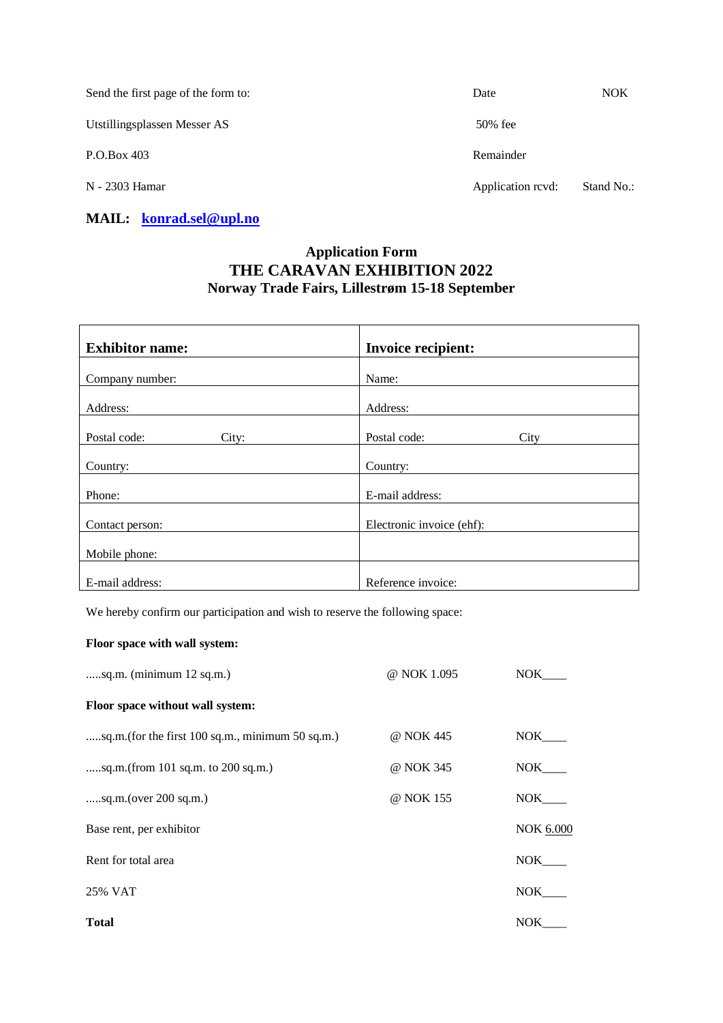| Send the first page of the form to: | Date              | <b>NOK</b> |
|-------------------------------------|-------------------|------------|
| Utstillingsplassen Messer AS        | 50% fee           |            |
| P.O.Box 403                         | Remainder         |            |
| N - 2303 Hamar                      | Application revd: | Stand No.: |

# **MAIL: [konrad.sel@upl.no](mailto:konrad.sel@upl.no)**

## **Application Form THE CARAVAN EXHIBITION 2022 Norway Trade Fairs, Lillestrøm 15-18 September**

| <b>Exhibitor name:</b> | <b>Invoice recipient:</b> |
|------------------------|---------------------------|
| Company number:        | Name:                     |
| Address:               | Address:                  |
| Postal code:<br>City:  | Postal code:<br>City      |
| Country:               | Country:                  |
| Phone:                 | E-mail address:           |
| Contact person:        | Electronic invoice (ehf): |
| Mobile phone:          |                           |
| E-mail address:        | Reference invoice:        |

We hereby confirm our participation and wish to reserve the following space:

### **Floor space with wall system:**

| sq.m. (minimum $12$ sq.m.)                        | @ NOK 1.095 | <b>NOK</b>       |
|---------------------------------------------------|-------------|------------------|
| Floor space without wall system:                  |             |                  |
| sq.m. (for the first 100 sq.m., minimum 50 sq.m.) | @ NOK 445   | NOK .            |
| sq.m.(from 101 sq.m. to 200 sq.m.)                | @ NOK 345   | NOK <sub>1</sub> |
| sq.m.(over $200$ sq.m.)                           | @ NOK 155   | NOK              |
| Base rent, per exhibitor                          |             | <b>NOK 6.000</b> |
| Rent for total area                               |             | NOK              |
| 25% VAT                                           |             | NOK.             |
| <b>Total</b>                                      |             | <b>NOK</b>       |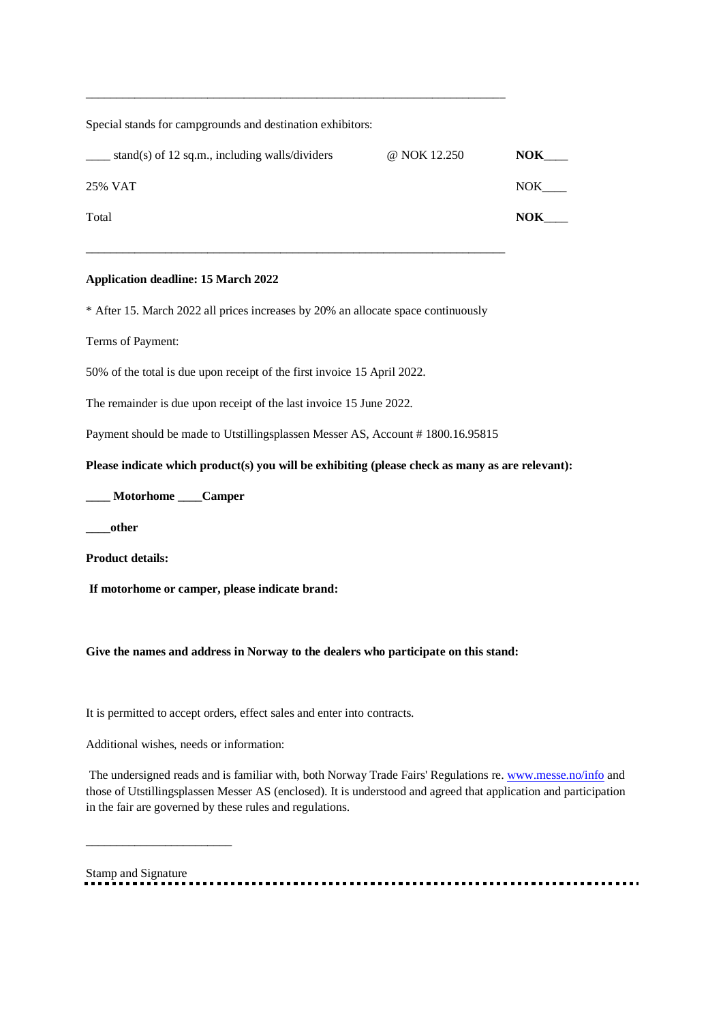Special stands for campgrounds and destination exhibitors:

| stand(s) of 12 sq.m., including walls/dividers | @ NOK 12.250 | <b>NOK</b> |
|------------------------------------------------|--------------|------------|
| 25% VAT                                        |              | <b>NOK</b> |
| Total                                          |              | <b>NOK</b> |

\_\_\_\_\_\_\_\_\_\_\_\_\_\_\_\_\_\_\_\_\_\_\_\_\_\_\_\_\_\_\_\_\_\_\_\_\_\_\_\_\_\_\_\_\_\_\_\_\_\_\_\_\_\_\_\_\_\_\_\_\_\_\_\_\_\_\_\_\_

#### **Application deadline: 15 March 2022**

\* After 15. March 2022 all prices increases by 20% an allocate space continuously

\_\_\_\_\_\_\_\_\_\_\_\_\_\_\_\_\_\_\_\_\_\_\_\_\_\_\_\_\_\_\_\_\_\_\_\_\_\_\_\_\_\_\_\_\_\_\_\_\_\_\_\_\_\_\_\_\_\_\_\_\_\_\_\_\_\_\_\_\_

Terms of Payment:

50% of the total is due upon receipt of the first invoice 15 April 2022.

The remainder is due upon receipt of the last invoice 15 June 2022.

Payment should be made to Utstillingsplassen Messer AS, Account # 1800.16.95815

Please indicate which product(s) you will be exhibiting (please check as many as are relevant):

**\_\_\_\_ Motorhome \_\_\_\_Camper**

**\_\_\_\_other**

**Product details:**

**If motorhome or camper, please indicate brand:**

**Give the names and address in Norway to the dealers who participate on this stand:**

It is permitted to accept orders, effect sales and enter into contracts.

Additional wishes, needs or information:

\_\_\_\_\_\_\_\_\_\_\_\_\_\_\_\_\_\_\_\_\_\_\_\_

The undersigned reads and is familiar with, both Norway Trade Fairs' Regulations re[. www.messe.no/info](http://www.messe.no/info) and those of Utstillingsplassen Messer AS (enclosed). It is understood and agreed that application and participation in the fair are governed by these rules and regulations.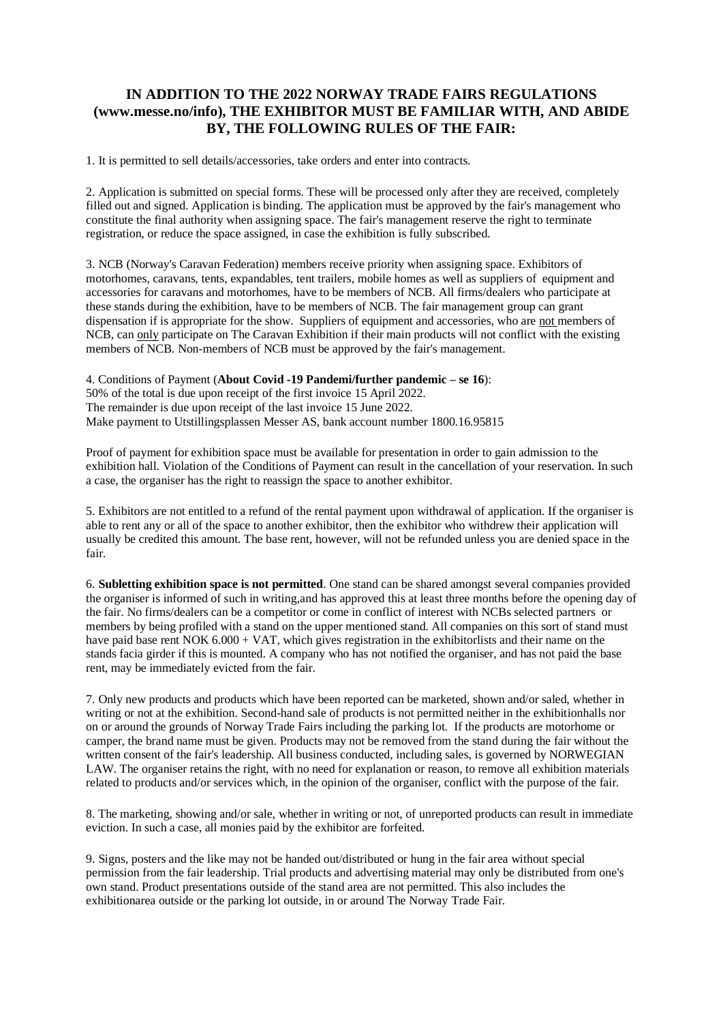### **IN ADDITION TO THE 2022 NORWAY TRADE FAIRS REGULATIONS (www.messe.no/info), THE EXHIBITOR MUST BE FAMILIAR WITH, AND ABIDE BY, THE FOLLOWING RULES OF THE FAIR:**

1. It is permitted to sell details/accessories, take orders and enter into contracts.

2. Application is submitted on special forms. These will be processed only after they are received, completely filled out and signed. Application is binding. The application must be approved by the fair's management who constitute the final authority when assigning space. The fair's management reserve the right to terminate registration, or reduce the space assigned, in case the exhibition is fully subscribed.

3. NCB (Norway's Caravan Federation) members receive priority when assigning space. Exhibitors of motorhomes, caravans, tents, expandables, tent trailers, mobile homes as well as suppliers of equipment and accessories for caravans and motorhomes, have to be members of NCB. All firms/dealers who participate at these stands during the exhibition, have to be members of NCB. The fair management group can grant dispensation if is appropriate for the show. Suppliers of equipment and accessories, who are not members of NCB, can only participate on The Caravan Exhibition if their main products will not conflict with the existing members of NCB. Non-members of NCB must be approved by the fair's management.

4. Conditions of Payment (**About Covid -19 Pandemi/further pandemic – se 16**): 50% of the total is due upon receipt of the first invoice 15 April 2022. The remainder is due upon receipt of the last invoice 15 June 2022. Make payment to Utstillingsplassen Messer AS, bank account number 1800.16.95815

Proof of payment for exhibition space must be available for presentation in order to gain admission to the exhibition hall. Violation of the Conditions of Payment can result in the cancellation of your reservation. In such a case, the organiser has the right to reassign the space to another exhibitor.

5. Exhibitors are not entitled to a refund of the rental payment upon withdrawal of application. If the organiser is able to rent any or all of the space to another exhibitor, then the exhibitor who withdrew their application will usually be credited this amount. The base rent, however, will not be refunded unless you are denied space in the fair.

6. **Subletting exhibition space is not permitted**. One stand can be shared amongst several companies provided the organiser is informed of such in writing,and has approved this at least three months before the opening day of the fair. No firms/dealers can be a competitor or come in conflict of interest with NCBs selected partners or members by being profiled with a stand on the upper mentioned stand. All companies on this sort of stand must have paid base rent NOK 6.000 + VAT, which gives registration in the exhibitorlists and their name on the stands facia girder if this is mounted. A company who has not notified the organiser, and has not paid the base rent, may be immediately evicted from the fair.

7. Only new products and products which have been reported can be marketed, shown and/or saled, whether in writing or not at the exhibition. Second-hand sale of products is not permitted neither in the exhibitionhalls nor on or around the grounds of Norway Trade Fairs including the parking lot. If the products are motorhome or camper, the brand name must be given. Products may not be removed from the stand during the fair without the written consent of the fair's leadership. All business conducted, including sales, is governed by NORWEGIAN LAW. The organiser retains the right, with no need for explanation or reason, to remove all exhibition materials related to products and/or services which, in the opinion of the organiser, conflict with the purpose of the fair.

8. The marketing, showing and/or sale, whether in writing or not, of unreported products can result in immediate eviction. In such a case, all monies paid by the exhibitor are forfeited.

9. Signs, posters and the like may not be handed out/distributed or hung in the fair area without special permission from the fair leadership. Trial products and advertising material may only be distributed from one's own stand. Product presentations outside of the stand area are not permitted. This also includes the exhibitionarea outside or the parking lot outside, in or around The Norway Trade Fair.